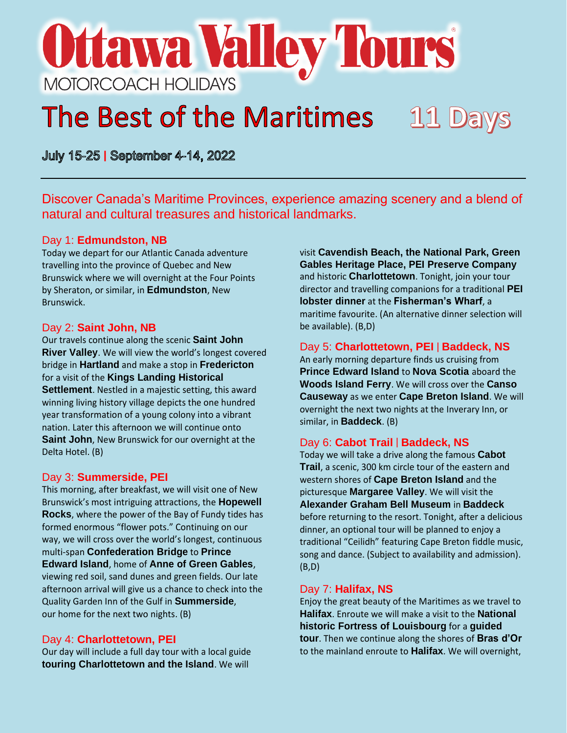# **Ottawa Valley Tours** MOTORCOACH HOLIDAYS

# The Best of the Maritimes 11 Days

July 15-25 | September 4-14, 2022

Discover Canada's Maritime Provinces, experience amazing scenery and a blend of natural and cultural treasures and historical landmarks.

#### Day 1: **Edmundston, NB**

Today we depart for our Atlantic Canada adventure travelling into the province of Quebec and New Brunswick where we will overnight at the Four Points by Sheraton, or similar, in **Edmundston**, New Brunswick.

#### Day 2: **Saint John, NB**

Our travels continue along the scenic **Saint John River Valley**. We will view the world's longest covered bridge in **Hartland** and make a stop in **Fredericton** for a visit of the **Kings Landing Historical Settlement**. Nestled in a majestic setting, this award winning living history village depicts the one hundred year transformation of a young colony into a vibrant nation. Later this afternoon we will continue onto **Saint John**, New Brunswick for our overnight at the Delta Hotel. (B)

#### Day 3: **Summerside, PEI**

This morning, after breakfast, we will visit one of New Brunswick's most intriguing attractions, the **Hopewell Rocks**, where the power of the Bay of Fundy tides has formed enormous "flower pots." Continuing on our way, we will cross over the world's longest, continuous multi-span **Confederation Bridge** to **Prince Edward Island**, home of **Anne of Green Gables**, viewing red soil, sand dunes and green fields. Our late afternoon arrival will give us a chance to check into the Quality Garden Inn of the Gulf in **Summerside**, our home for the next two nights. (B)

## Day 4: **Charlottetown, PEI**

Our day will include a full day tour with a local guide **touring Charlottetown and the Island**. We will

visit **Cavendish Beach, the National Park, Green Gables Heritage Place, PEI Preserve Company**  and historic **Charlottetown**. Tonight, join your tour director and travelling companions for a traditional **PEI lobster dinner** at the **Fisherman's Wharf**, a maritime favourite. (An alternative dinner selection will be available). (B,D)

## Day 5: **Charlottetown, PEI** | **Baddeck, NS**

An early morning departure finds us cruising from **Prince Edward Island** to **Nova Scotia** aboard the **Woods Island Ferry**. We will cross over the **Canso Causeway** as we enter **Cape Breton Island**. We will overnight the next two nights at the Inverary Inn, or similar, in **Baddeck**. (B)

## Day 6: **Cabot Trail** | **Baddeck, NS**

Today we will take a drive along the famous **Cabot Trail**, a scenic, 300 km circle tour of the eastern and western shores of **Cape Breton Island** and the picturesque **Margaree Valley**. We will visit the **Alexander Graham Bell Museum** in **Baddeck**  before returning to the resort. Tonight, after a delicious dinner, an optional tour will be planned to enjoy a traditional "Ceilidh" featuring Cape Breton fiddle music, song and dance. (Subject to availability and admission). (B,D)

#### Day 7: **Halifax, NS**

Enjoy the great beauty of the Maritimes as we travel to **Halifax**. Enroute we will make a visit to the **National historic Fortress of Louisbourg** for a **guided tour**. Then we continue along the shores of **Bras d'Or** to the mainland enroute to **Halifax**. We will overnight,